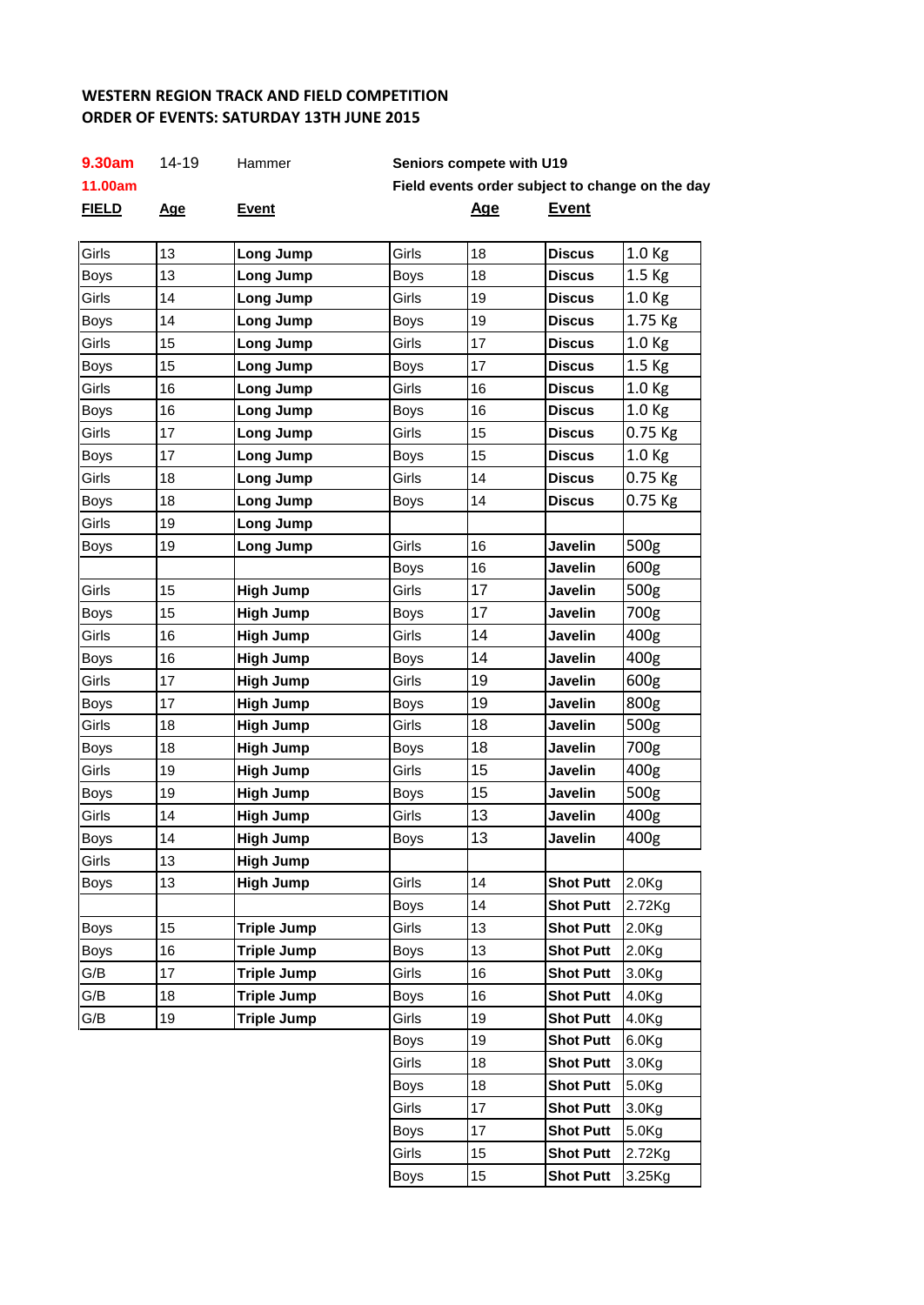## **REGION TRACK AND FIELD COMPETITION WESTERN REGION TRACK AND FIELD COMPETITION ORDER OF EVENTS: SATURDAY 13TH JUNE 2015**

| 9.30am       | 14-19      | Hammer             |                                                 | Seniors compete with U19 |                  |                   |
|--------------|------------|--------------------|-------------------------------------------------|--------------------------|------------------|-------------------|
| 11.00am      |            |                    | Field events order subject to change on the day |                          |                  |                   |
| <b>FIELD</b> | <u>Age</u> | <b>Event</b>       |                                                 | <u>Age</u>               | <u>Event</u>     |                   |
| Girls        | 13         | Long Jump          | Girls                                           | 18                       | <b>Discus</b>    | 1.0 Kg            |
| Boys         | 13         | Long Jump          | <b>Boys</b>                                     | 18                       | <b>Discus</b>    | 1.5 Kg            |
| Girls        | 14         | Long Jump          | Girls                                           | 19                       | <b>Discus</b>    | 1.0 Kg            |
| <b>Boys</b>  | 14         | Long Jump          | <b>Boys</b>                                     | 19                       | <b>Discus</b>    | 1.75 Kg           |
| Girls        | 15         | Long Jump          | Girls                                           | 17                       | <b>Discus</b>    | 1.0 <sub>Kg</sub> |
| <b>Boys</b>  | 15         | Long Jump          | <b>Boys</b>                                     | 17                       | <b>Discus</b>    | 1.5 Kg            |
| Girls        | 16         | Long Jump          | Girls                                           | 16                       | <b>Discus</b>    | 1.0 <sub>Kg</sub> |
|              |            |                    |                                                 | 16                       |                  |                   |
| <b>Boys</b>  | 16         | Long Jump          | <b>Boys</b>                                     |                          | <b>Discus</b>    | 1.0 Kg            |
| Girls        | 17         | Long Jump          | Girls                                           | 15                       | <b>Discus</b>    | 0.75 Kg           |
| <b>Boys</b>  | 17         | Long Jump          | <b>Boys</b>                                     | 15                       | <b>Discus</b>    | 1.0 <sub>Kg</sub> |
| Girls        | 18         | Long Jump          | Girls                                           | 14                       | <b>Discus</b>    | 0.75 Kg           |
| <b>Boys</b>  | 18         | Long Jump          | <b>Boys</b>                                     | 14                       | <b>Discus</b>    | 0.75 Kg           |
| Girls        | 19         | Long Jump          |                                                 |                          |                  |                   |
| Boys         | 19         | Long Jump          | Girls                                           | 16                       | Javelin          | 500g              |
|              |            |                    | <b>Boys</b>                                     | 16                       | Javelin          | 600g              |
| Girls        | 15         | <b>High Jump</b>   | Girls                                           | 17                       | Javelin          | 500g              |
| <b>Boys</b>  | 15         | <b>High Jump</b>   | <b>Boys</b>                                     | 17                       | Javelin          | 700g              |
| Girls        | 16         | <b>High Jump</b>   | Girls                                           | 14                       | Javelin          | 400 <sub>g</sub>  |
| <b>Boys</b>  | 16         | <b>High Jump</b>   | <b>Boys</b>                                     | 14                       | Javelin          | 400g              |
| Girls        | 17         | <b>High Jump</b>   | Girls                                           | 19                       | Javelin          | 600g              |
| Boys         | 17         | <b>High Jump</b>   | <b>Boys</b>                                     | 19                       | Javelin          | 800g              |
| Girls        | 18         | <b>High Jump</b>   | Girls                                           | 18                       | Javelin          | 500g              |
| <b>Boys</b>  | 18         | <b>High Jump</b>   | Boys                                            | 18                       | Javelin          | 700g              |
| Girls        | 19         | <b>High Jump</b>   | Girls                                           | 15                       | Javelin          | 400g              |
| <b>Boys</b>  | 19         | <b>High Jump</b>   | <b>Boys</b>                                     | 15                       | Javelin          | 500g              |
| Girls        | 14         | <b>High Jump</b>   | Girls                                           | 13                       | Javelin          | 400g              |
| <b>Boys</b>  | 14         | <b>High Jump</b>   | <b>Boys</b>                                     | 13                       | Javelin          | 400g              |
| Girls        | 13         | <b>High Jump</b>   |                                                 |                          |                  |                   |
| <b>Boys</b>  | 13         | <b>High Jump</b>   | Girls                                           | 14                       | <b>Shot Putt</b> | 2.0 <sub>g</sub>  |
|              |            |                    | <b>Boys</b>                                     | 14                       | <b>Shot Putt</b> | 2.72Kg            |
| <b>Boys</b>  | 15         | <b>Triple Jump</b> | Girls                                           | 13                       | <b>Shot Putt</b> | 2.0 <sub>Kg</sub> |
| <b>Boys</b>  | 16         | <b>Triple Jump</b> | <b>Boys</b>                                     | 13                       | <b>Shot Putt</b> | 2.0 <sub>g</sub>  |
| G/B          | 17         | <b>Triple Jump</b> | Girls                                           | 16                       | <b>Shot Putt</b> | 3.0 <sub>kg</sub> |
| G/B          | 18         | <b>Triple Jump</b> | <b>Boys</b>                                     | 16                       | <b>Shot Putt</b> | 4.0Kg             |
| G/B          | 19         | <b>Triple Jump</b> | Girls                                           | 19                       | <b>Shot Putt</b> | 4.0 <sub>g</sub>  |
|              |            |                    | <b>Boys</b>                                     | 19                       | <b>Shot Putt</b> | 6.0 <sub>g</sub>  |
|              |            |                    | Girls                                           | 18                       | <b>Shot Putt</b> | 3.0 <sub>Kg</sub> |
|              |            |                    | <b>Boys</b>                                     | 18                       | <b>Shot Putt</b> | 5.0Kg             |
|              |            |                    | Girls                                           | 17                       | <b>Shot Putt</b> | 3.0 <sub>Kg</sub> |
|              |            |                    | Boys                                            | 17                       | <b>Shot Putt</b> | 5.0 <sub>g</sub>  |
|              |            |                    | Girls                                           | 15                       | <b>Shot Putt</b> | 2.72Kg            |
|              |            |                    | <b>Boys</b>                                     | 15                       | <b>Shot Putt</b> | 3.25Kg            |
|              |            |                    |                                                 |                          |                  |                   |